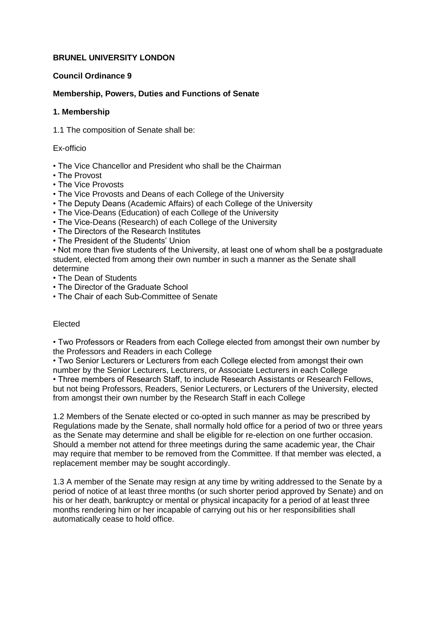# **BRUNEL UNIVERSITY LONDON**

# **Council Ordinance 9**

# **Membership, Powers, Duties and Functions of Senate**

### **1. Membership**

1.1 The composition of Senate shall be:

Ex-officio

- The Vice Chancellor and President who shall be the Chairman
- The Provost
- The Vice Provosts
- The Vice Provosts and Deans of each College of the University
- The Deputy Deans (Academic Affairs) of each College of the University
- The Vice-Deans (Education) of each College of the University
- The Vice-Deans (Research) of each College of the University
- The Directors of the Research Institutes
- The President of the Students' Union

• Not more than five students of the University, at least one of whom shall be a postgraduate student, elected from among their own number in such a manner as the Senate shall determine

- The Dean of Students
- The Director of the Graduate School
- The Chair of each Sub-Committee of Senate

# Elected

• Two Professors or Readers from each College elected from amongst their own number by the Professors and Readers in each College

• Two Senior Lecturers or Lecturers from each College elected from amongst their own number by the Senior Lecturers, Lecturers, or Associate Lecturers in each College • Three members of Research Staff, to include Research Assistants or Research Fellows, but not being Professors, Readers, Senior Lecturers, or Lecturers of the University, elected from amongst their own number by the Research Staff in each College

1.2 Members of the Senate elected or co-opted in such manner as may be prescribed by Regulations made by the Senate, shall normally hold office for a period of two or three years as the Senate may determine and shall be eligible for re-election on one further occasion. Should a member not attend for three meetings during the same academic year, the Chair may require that member to be removed from the Committee. If that member was elected, a replacement member may be sought accordingly.

1.3 A member of the Senate may resign at any time by writing addressed to the Senate by a period of notice of at least three months (or such shorter period approved by Senate) and on his or her death, bankruptcy or mental or physical incapacity for a period of at least three months rendering him or her incapable of carrying out his or her responsibilities shall automatically cease to hold office.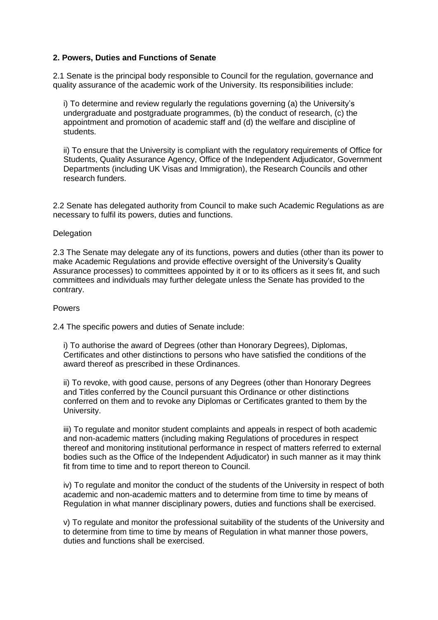## **2. Powers, Duties and Functions of Senate**

2.1 Senate is the principal body responsible to Council for the regulation, governance and quality assurance of the academic work of the University. Its responsibilities include:

i) To determine and review regularly the regulations governing (a) the University's undergraduate and postgraduate programmes, (b) the conduct of research, (c) the appointment and promotion of academic staff and (d) the welfare and discipline of students.

ii) To ensure that the University is compliant with the regulatory requirements of Office for Students, Quality Assurance Agency, Office of the Independent Adjudicator, Government Departments (including UK Visas and Immigration), the Research Councils and other research funders.

2.2 Senate has delegated authority from Council to make such Academic Regulations as are necessary to fulfil its powers, duties and functions.

#### **Delegation**

2.3 The Senate may delegate any of its functions, powers and duties (other than its power to make Academic Regulations and provide effective oversight of the University's Quality Assurance processes) to committees appointed by it or to its officers as it sees fit, and such committees and individuals may further delegate unless the Senate has provided to the contrary.

#### Powers

2.4 The specific powers and duties of Senate include:

i) To authorise the award of Degrees (other than Honorary Degrees), Diplomas, Certificates and other distinctions to persons who have satisfied the conditions of the award thereof as prescribed in these Ordinances.

ii) To revoke, with good cause, persons of any Degrees (other than Honorary Degrees and Titles conferred by the Council pursuant this Ordinance or other distinctions conferred on them and to revoke any Diplomas or Certificates granted to them by the University.

iii) To regulate and monitor student complaints and appeals in respect of both academic and non-academic matters (including making Regulations of procedures in respect thereof and monitoring institutional performance in respect of matters referred to external bodies such as the Office of the Independent Adjudicator) in such manner as it may think fit from time to time and to report thereon to Council.

iv) To regulate and monitor the conduct of the students of the University in respect of both academic and non-academic matters and to determine from time to time by means of Regulation in what manner disciplinary powers, duties and functions shall be exercised.

v) To regulate and monitor the professional suitability of the students of the University and to determine from time to time by means of Regulation in what manner those powers, duties and functions shall be exercised.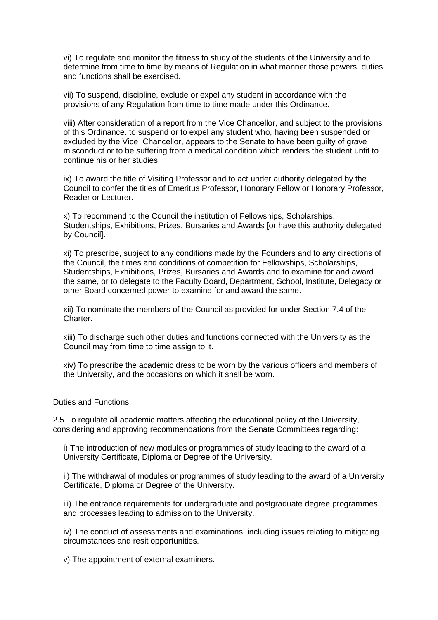vi) To regulate and monitor the fitness to study of the students of the University and to determine from time to time by means of Regulation in what manner those powers, duties and functions shall be exercised.

vii) To suspend, discipline, exclude or expel any student in accordance with the provisions of any Regulation from time to time made under this Ordinance.

viii) After consideration of a report from the Vice Chancellor, and subject to the provisions of this Ordinance. to suspend or to expel any student who, having been suspended or excluded by the Vice Chancellor, appears to the Senate to have been guilty of grave misconduct or to be suffering from a medical condition which renders the student unfit to continue his or her studies.

ix) To award the title of Visiting Professor and to act under authority delegated by the Council to confer the titles of Emeritus Professor, Honorary Fellow or Honorary Professor, Reader or Lecturer.

x) To recommend to the Council the institution of Fellowships, Scholarships, Studentships, Exhibitions, Prizes, Bursaries and Awards [or have this authority delegated by Council].

xi) To prescribe, subject to any conditions made by the Founders and to any directions of the Council, the times and conditions of competition for Fellowships, Scholarships, Studentships, Exhibitions, Prizes, Bursaries and Awards and to examine for and award the same, or to delegate to the Faculty Board, Department, School, Institute, Delegacy or other Board concerned power to examine for and award the same.

xii) To nominate the members of the Council as provided for under Section 7.4 of the Charter.

xiii) To discharge such other duties and functions connected with the University as the Council may from time to time assign to it.

xiv) To prescribe the academic dress to be worn by the various officers and members of the University, and the occasions on which it shall be worn.

## Duties and Functions

2.5 To regulate all academic matters affecting the educational policy of the University, considering and approving recommendations from the Senate Committees regarding:

i) The introduction of new modules or programmes of study leading to the award of a University Certificate, Diploma or Degree of the University.

ii) The withdrawal of modules or programmes of study leading to the award of a University Certificate, Diploma or Degree of the University.

iii) The entrance requirements for undergraduate and postgraduate degree programmes and processes leading to admission to the University.

iv) The conduct of assessments and examinations, including issues relating to mitigating circumstances and resit opportunities.

v) The appointment of external examiners.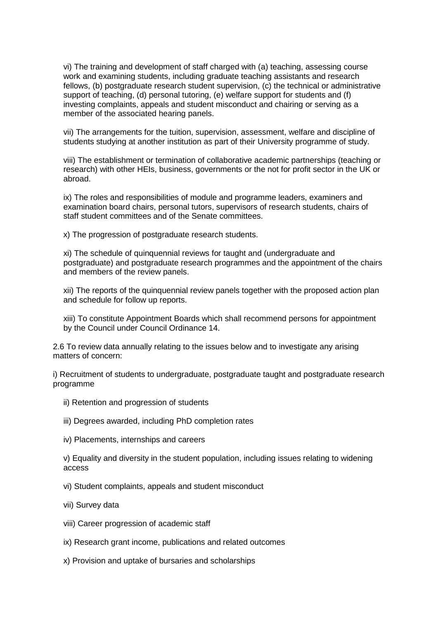vi) The training and development of staff charged with (a) teaching, assessing course work and examining students, including graduate teaching assistants and research fellows, (b) postgraduate research student supervision, (c) the technical or administrative support of teaching, (d) personal tutoring, (e) welfare support for students and (f) investing complaints, appeals and student misconduct and chairing or serving as a member of the associated hearing panels.

vii) The arrangements for the tuition, supervision, assessment, welfare and discipline of students studying at another institution as part of their University programme of study.

viii) The establishment or termination of collaborative academic partnerships (teaching or research) with other HEIs, business, governments or the not for profit sector in the UK or abroad.

ix) The roles and responsibilities of module and programme leaders, examiners and examination board chairs, personal tutors, supervisors of research students, chairs of staff student committees and of the Senate committees.

x) The progression of postgraduate research students.

xi) The schedule of quinquennial reviews for taught and (undergraduate and postgraduate) and postgraduate research programmes and the appointment of the chairs and members of the review panels.

xii) The reports of the quinquennial review panels together with the proposed action plan and schedule for follow up reports.

xiii) To constitute Appointment Boards which shall recommend persons for appointment by the Council under Council Ordinance 14.

2.6 To review data annually relating to the issues below and to investigate any arising matters of concern:

i) Recruitment of students to undergraduate, postgraduate taught and postgraduate research programme

- ii) Retention and progression of students
- iii) Degrees awarded, including PhD completion rates
- iv) Placements, internships and careers

v) Equality and diversity in the student population, including issues relating to widening access

- vi) Student complaints, appeals and student misconduct
- vii) Survey data
- viii) Career progression of academic staff
- ix) Research grant income, publications and related outcomes
- x) Provision and uptake of bursaries and scholarships